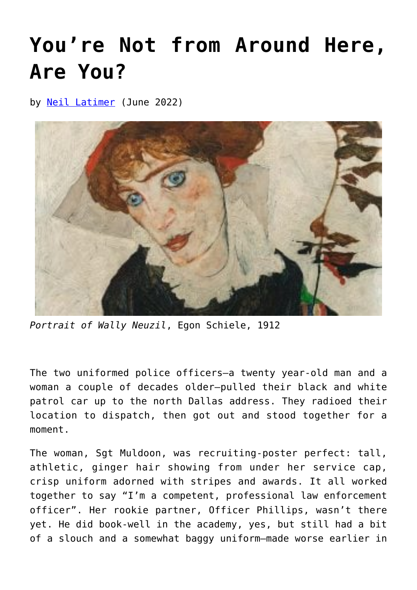## **[You're Not from Around Here,](https://www.newenglishreview.org/articles/youre-not-from-here-are-you/) [Are You?](https://www.newenglishreview.org/articles/youre-not-from-here-are-you/)**

by [Neil Latimer](https://www.newenglishreview.org/authors/neil-latimer/?) (June 2022)



*Portrait of Wally Neuzil*, Egon Schiele, 1912

The two uniformed police officers—a twenty year-old man and a woman a couple of decades older—pulled their black and white patrol car up to the north Dallas address. They radioed their location to dispatch, then got out and stood together for a moment.

The woman, Sgt Muldoon, was recruiting-poster perfect: tall, athletic, ginger hair showing from under her service cap, crisp uniform adorned with stripes and awards. It all worked together to say "I'm a competent, professional law enforcement officer". Her rookie partner, Officer Phillips, wasn't there yet. He did book-well in the academy, yes, but still had a bit of a slouch and a somewhat baggy uniform—made worse earlier in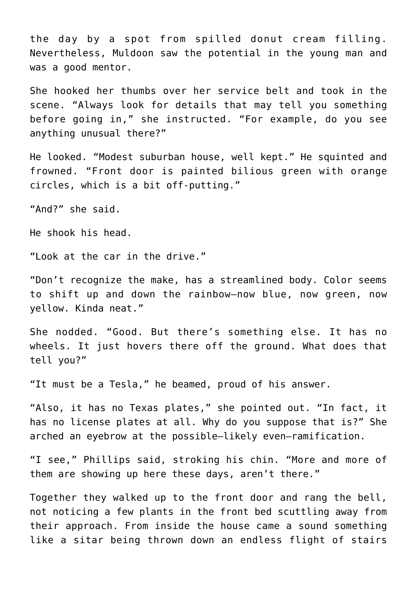the day by a spot from spilled donut cream filling. Nevertheless, Muldoon saw the potential in the young man and was a good mentor.

She hooked her thumbs over her service belt and took in the scene. "Always look for details that may tell you something before going in," she instructed. "For example, do you see anything unusual there?"

He looked. "Modest suburban house, well kept." He squinted and frowned. "Front door is painted bilious green with orange circles, which is a bit off-putting."

"And?" she said.

He shook his head.

"Look at the car in the drive."

"Don't recognize the make, has a streamlined body. Color seems to shift up and down the rainbow—now blue, now green, now yellow. Kinda neat."

She nodded. "Good. But there's something else. It has no wheels. It just hovers there off the ground. What does that tell you?"

"It must be a Tesla," he beamed, proud of his answer.

"Also, it has no Texas plates," she pointed out. "In fact, it has no license plates at all. Why do you suppose that is?" She arched an eyebrow at the possible—likely even—ramification.

"I see," Phillips said, stroking his chin. "More and more of them are showing up here these days, aren't there."

Together they walked up to the front door and rang the bell, not noticing a few plants in the front bed scuttling away from their approach. From inside the house came a sound something like a sitar being thrown down an endless flight of stairs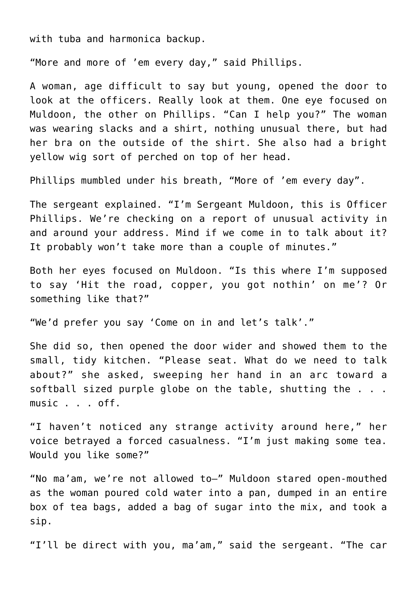with tuba and harmonica backup.

"More and more of 'em every day," said Phillips.

A woman, age difficult to say but young, opened the door to look at the officers. Really look at them. One eye focused on Muldoon, the other on Phillips. "Can I help you?" The woman was wearing slacks and a shirt, nothing unusual there, but had her bra on the outside of the shirt. She also had a bright yellow wig sort of perched on top of her head.

Phillips mumbled under his breath, "More of 'em every day".

The sergeant explained. "I'm Sergeant Muldoon, this is Officer Phillips. We're checking on a report of unusual activity in and around your address. Mind if we come in to talk about it? It probably won't take more than a couple of minutes."

Both her eyes focused on Muldoon. "Is this where I'm supposed to say 'Hit the road, copper, you got nothin' on me'? Or something like that?"

"We'd prefer you say 'Come on in and let's talk'."

She did so, then opened the door wider and showed them to the small, tidy kitchen. "Please seat. What do we need to talk about?" she asked, sweeping her hand in an arc toward a softball sized purple globe on the table, shutting the . . . music . . . off.

"I haven't noticed any strange activity around here," her voice betrayed a forced casualness. "I'm just making some tea. Would you like some?"

"No ma'am, we're not allowed to—" Muldoon stared open-mouthed as the woman poured cold water into a pan, dumped in an entire box of tea bags, added a bag of sugar into the mix, and took a sip.

"I'll be direct with you, ma'am," said the sergeant. "The car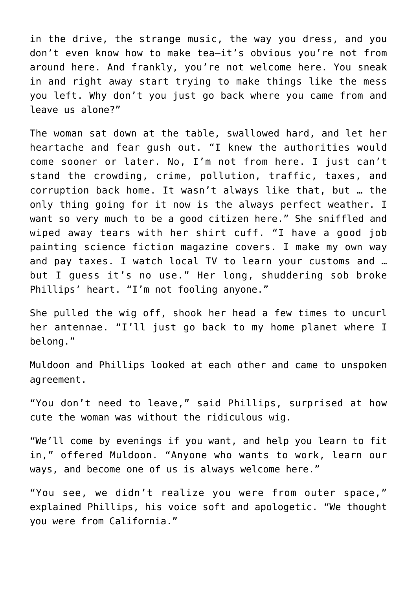in the drive, the strange music, the way you dress, and you don't even know how to make tea—it's obvious you're not from around here. And frankly, you're not welcome here. You sneak in and right away start trying to make things like the mess you left. Why don't you just go back where you came from and leave us alone?"

The woman sat down at the table, swallowed hard, and let her heartache and fear gush out. "I knew the authorities would come sooner or later. No, I'm not from here. I just can't stand the crowding, crime, pollution, traffic, taxes, and corruption back home. It wasn't always like that, but … the only thing going for it now is the always perfect weather. I want so very much to be a good citizen here." She sniffled and wiped away tears with her shirt cuff. "I have a good job painting science fiction magazine covers. I make my own way and pay taxes. I watch local TV to learn your customs and … but I guess it's no use." Her long, shuddering sob broke Phillips' heart. "I'm not fooling anyone."

She pulled the wig off, shook her head a few times to uncurl her antennae. "I'll just go back to my home planet where I belong."

Muldoon and Phillips looked at each other and came to unspoken agreement.

"You don't need to leave," said Phillips, surprised at how cute the woman was without the ridiculous wig.

"We'll come by evenings if you want, and help you learn to fit in," offered Muldoon. "Anyone who wants to work, learn our ways, and become one of us is always welcome here."

"You see, we didn't realize you were from outer space," explained Phillips, his voice soft and apologetic. "We thought you were from California."